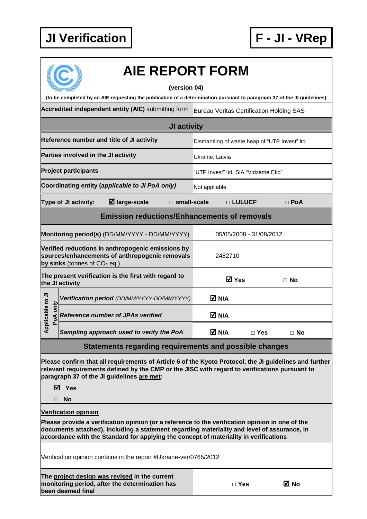

| <b>AIE REPORT FORM</b><br>(version 04)                                                                                                                                                                                                                                                  |                                                 |                                                |                         |            |  |  |
|-----------------------------------------------------------------------------------------------------------------------------------------------------------------------------------------------------------------------------------------------------------------------------------------|-------------------------------------------------|------------------------------------------------|-------------------------|------------|--|--|
| (to be completed by an AIE requesting the publication of a determination pursuant to paragraph 37 of the JI guidelines)                                                                                                                                                                 |                                                 |                                                |                         |            |  |  |
| Accredited independent entity (AIE) submitting form                                                                                                                                                                                                                                     | <b>Bureau Veritas Certification Holding SAS</b> |                                                |                         |            |  |  |
| JI activity                                                                                                                                                                                                                                                                             |                                                 |                                                |                         |            |  |  |
| Reference number and title of JI activity                                                                                                                                                                                                                                               |                                                 | Dismantling of waste heap of "UTP Invest" Itd. |                         |            |  |  |
| Parties involved in the JI activity                                                                                                                                                                                                                                                     |                                                 | Ukraine, Latvia                                |                         |            |  |  |
| <b>Project participants</b>                                                                                                                                                                                                                                                             |                                                 | "UTP Invest" Itd, SIA "Vidzeme Eko"            |                         |            |  |  |
| Coordinating entity (applicable to JI PoA only)                                                                                                                                                                                                                                         |                                                 | Not appliable                                  |                         |            |  |  |
| $\boxtimes$ large-scale<br>Type of JI activity:                                                                                                                                                                                                                                         | $\square$ small-scale                           |                                                | □ LULUCF                | $\Box$ PoA |  |  |
| <b>Emission reductions/Enhancements of removals</b>                                                                                                                                                                                                                                     |                                                 |                                                |                         |            |  |  |
| Monitoring period(s) (DD/MM/YYYY - DD/MM/YYYY)                                                                                                                                                                                                                                          |                                                 |                                                | 05/05/2008 - 31/08/2012 |            |  |  |
| Verified reductions in anthropogenic emissions by<br>sources/enhancements of anthropogenic removals<br>by sinks (tonnes of $CO2$ eq.)                                                                                                                                                   |                                                 | 2482710                                        |                         |            |  |  |
| The present verification is the first with regard to<br>the JI activity                                                                                                                                                                                                                 |                                                 | <b>☑</b> Yes                                   |                         | $\Box$ No  |  |  |
| Verification period (DD/MM/YYYY-DD/MM/YYYY)                                                                                                                                                                                                                                             |                                                 | M N/A                                          |                         |            |  |  |
| pplicable to JI<br>PoA only<br><b>Reference number of JPAs verified</b>                                                                                                                                                                                                                 |                                                 | M N/A                                          |                         |            |  |  |
| Sampling approach used to verify the PoA<br>⋖                                                                                                                                                                                                                                           |                                                 | $\overline{M}$ N/A                             | $\Box$ Yes              | $\Box$ No  |  |  |
| Statements regarding requirements and possible changes                                                                                                                                                                                                                                  |                                                 |                                                |                         |            |  |  |
| Please confirm that all requirements of Article 6 of the Kyoto Protocol, the JI guidelines and further<br>relevant requirements defined by the CMP or the JISC with regard to verifications pursuant to<br>paragraph 37 of the JI guidelines are met:                                   |                                                 |                                                |                         |            |  |  |
| $\boxtimes$ Yes<br><b>No</b>                                                                                                                                                                                                                                                            |                                                 |                                                |                         |            |  |  |
| <b>Verification opinion</b>                                                                                                                                                                                                                                                             |                                                 |                                                |                         |            |  |  |
| Please provide a verification opinion (or a reference to the verification opinion in one of the<br>documents attached), including a statement regarding materiality and level of assurance, in<br>accordance with the Standard for applying the concept of materiality in verifications |                                                 |                                                |                         |            |  |  |
| Verification opinion contains in the report #Ukraine-ver/0765/2012                                                                                                                                                                                                                      |                                                 |                                                |                         |            |  |  |
| The project design was revised in the current<br>monitoring period, after the determination has<br>been deemed final                                                                                                                                                                    |                                                 | $\Box$ Yes                                     |                         | ⊠ No       |  |  |